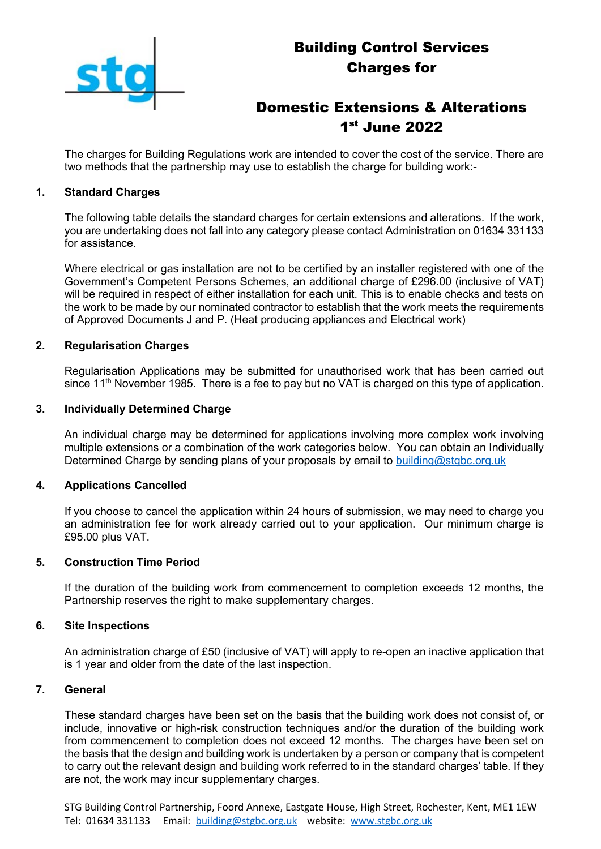

# Building Control Services Charges for

# Domestic Extensions & Alterations 1 st June 2022

The charges for Building Regulations work are intended to cover the cost of the service. There are two methods that the partnership may use to establish the charge for building work:-

# **1. Standard Charges**

The following table details the standard charges for certain extensions and alterations. If the work, you are undertaking does not fall into any category please contact Administration on 01634 331133 for assistance.

Where electrical or gas installation are not to be certified by an installer registered with one of the Government's Competent Persons Schemes, an additional charge of £296.00 (inclusive of VAT) will be required in respect of either installation for each unit. This is to enable checks and tests on the work to be made by our nominated contractor to establish that the work meets the requirements of Approved Documents J and P. (Heat producing appliances and Electrical work)

# **2. Regularisation Charges**

Regularisation Applications may be submitted for unauthorised work that has been carried out since 11<sup>th</sup> November 1985. There is a fee to pay but no VAT is charged on this type of application.

#### **3. Individually Determined Charge**

An individual charge may be determined for applications involving more complex work involving multiple extensions or a combination of the work categories below. You can obtain an Individually Determined Charge by sending plans of your proposals by email to [building@stgbc.org.uk](mailto:building@stgbc.org.uk)

#### **4. Applications Cancelled**

If you choose to cancel the application within 24 hours of submission, we may need to charge you an administration fee for work already carried out to your application. Our minimum charge is £95.00 plus VAT.

#### **5. Construction Time Period**

If the duration of the building work from commencement to completion exceeds 12 months, the Partnership reserves the right to make supplementary charges.

#### **6. Site Inspections**

An administration charge of £50 (inclusive of VAT) will apply to re-open an inactive application that is 1 year and older from the date of the last inspection.

### **7. General**

These standard charges have been set on the basis that the building work does not consist of, or include, innovative or high-risk construction techniques and/or the duration of the building work from commencement to completion does not exceed 12 months. The charges have been set on the basis that the design and building work is undertaken by a person or company that is competent to carry out the relevant design and building work referred to in the standard charges' table. If they are not, the work may incur supplementary charges.

STG Building Control Partnership, Foord Annexe, Eastgate House, High Street, Rochester, Kent, ME1 1EW Tel: 01634 331133 Email: [building@stgbc.org.uk](mailto:building@stgbc.org.uk) website: [www.stgbc.org.uk](http://www.stgbc.org.uk/)